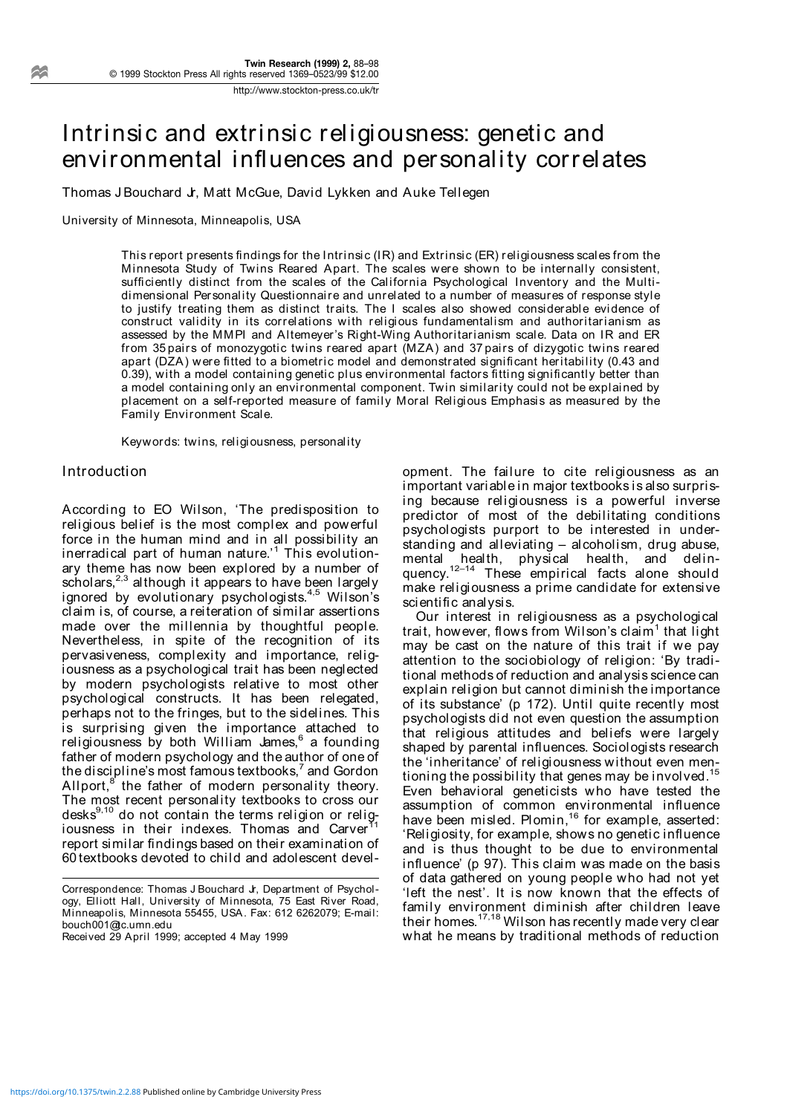Intrinsic and extrinsic religiousness: genetic and environmental influences and personality correlates

Thomas J Bouchard Jr, Matt McGue, David Lykken and Auke Tellegen

University of Minnesota, Minneapolis, USA

This report presents findings for the Intrinsic (IR) and Extrinsic (ER) religiousness scales from the Minnesota Study of Twins Reared Apart. The scales were shown to be internally consistent, sufficiently distinct from the scales of the California Psychological Inventory and the Multidimensional Personality Questionnaire and unrelated to a number of measures of response style to justify treating them as distinct traits. The I scales also showed considerable evidence of construct validity in its correlations with religious fundamentalism and authoritarianism as assessed by the MMPI and Altemeyer's Right-Wing Authoritarianism scale. Data on IR and ER from 35 pairs of monozygotic twins reared apart (MZA) and 37 pairs of dizygotic twins reared apart (DZA) were fitted to a biometric model and demonstrated significant heritability (0.43 and 0.39), with a model containing genetic plus environmental factors fitting significantly better than a model containing only an environmental component. Twin similarity could not be explained by placement on a self-reported measure of family Moral Religious Emphasis as measured by the Family Environment Scale.

Keywords: twins, religiousness, personality

#### **Introduction**

According to EO Wilson, 'The predisposition to religious belief is the most complex and powerful force in the human mind and in all possibility an inerradical part of human nature.'<sup>1</sup> This evolutionary theme has now been explored by a number of scholars, $2,3$  although it appears to have been largely ignored by evolutionary psychologists.<sup>4,5</sup> Wilson's claim is, of course, a reiteration of similar assertions made over the millennia by thoughtful people. Nevertheless, in spite of the recognition of its pervasiveness, complexity and importance, religiousness as a psychological trait has been neglected by modern psychologists relative to most other psychological constructs. It has been relegated, perhaps not to the fringes, but to the sidelines. This is surprising given the importance attached to religiousness by both William James,<sup>6</sup> a founding father of modern psychology and the author of one of the discipline's most famous textbooks, $^7$  and Gordon Allport, $8$  the father of modern personality theory. The most recent personality textbooks to cross our desks<sup>9,10</sup> do not contain the terms religion or religiousness in their indexes. Thomas and Carver<sup>11</sup> report similar findings based on their examination of 60 textbooks devoted to child and adolescent devel-

Received 29 April 1999; accepted 4 May 1999

opment. The failure to cite religiousness as an important variable in major textbooks is also surprising because religiousness is a powerful inverse predictor of most of the debilitating conditions psychologists purport to be interested in understanding and alleviating – alcoholism, drug abuse, mental health, physical health, and delinquency.<sup>12-14</sup> These empirical facts alone should make religiousness a prime candidate for extensive scientific analysis.

Our interest in religiousness as a psychological trait, however, flows from Wilson's claim<sup>1</sup> that light may be cast on the nature of this trait if we pay attention to the sociobiology of religion: 'By traditional methods of reduction and analysis science can explain religion but cannot diminish the importance of its substance' (p 172). Until quite recently most psychologists did not even question the assumption that religious attitudes and beliefs were largely shaped by parental influences. Sociologists research the 'inheritance' of religiousness without even mentioning the possibility that genes may be involved.15 Even behavioral geneticists who have tested the assumption of common environmental influence have been misled. Plomin,<sup>16</sup> for example, asserted: 'Religiosity, for example, shows no genetic influence and is thus thought to be due to environmental influence' (p 97). This claim was made on the basis of data gathered on young people who had not yet 'left the nest'. It is now known that the effects of family environment diminish after children leave their homes.<sup>17,18</sup> Wilson has recently made very clear what he means by traditional methods of reduction

Correspondence: Thomas J Bouchard Jr, Department of Psychology, Elliott Hall, University of Minnesota, 75 East River Road, Minneapolis, Minnesota 55455, USA. Fax: 612 6262079; E-mail: bouch001@tc.umn.edu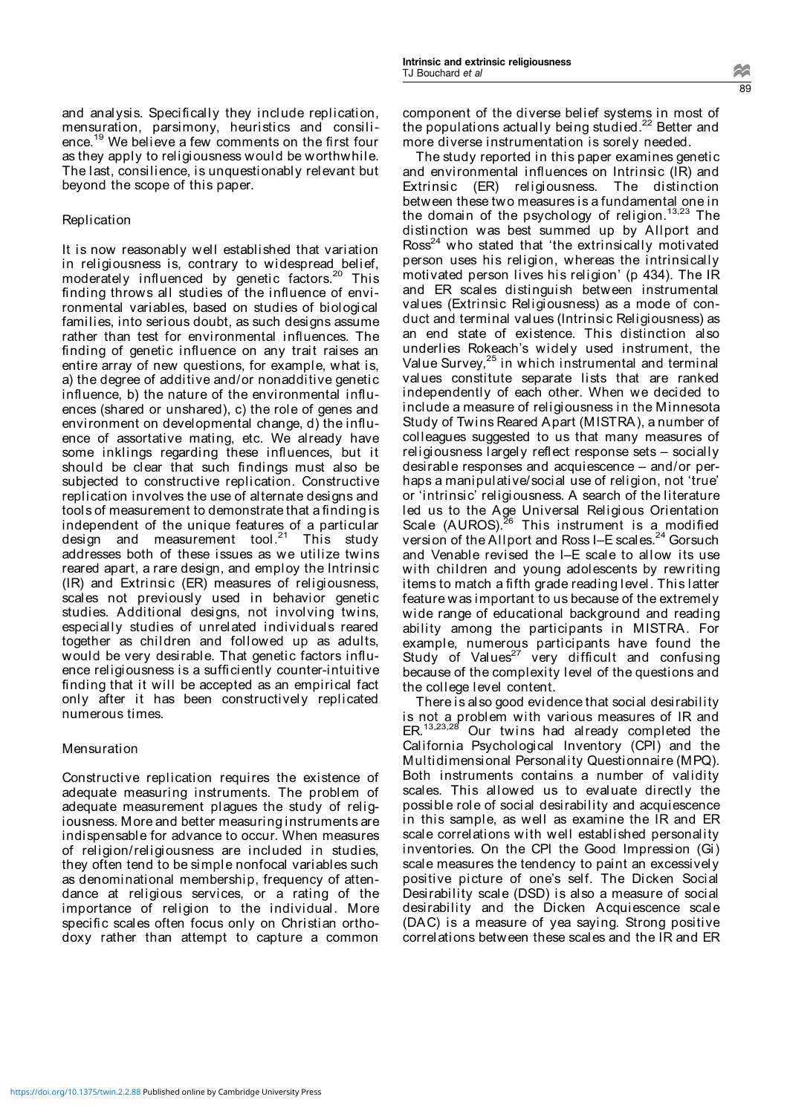and analysis. Specifically they include replication, mensuration, parsimony, heuristics and consilience.<sup>19</sup> We believe a few comments on the first four as they apply to religiousness would be worthwhile. The last, consilience, is unquestionably relevant but beyond the scope of this paper.

## **Replication**

It is now reasonably well established that variation in religiousness is, contrary to widespread belief, moderately influenced by genetic factors.<sup>20</sup> This finding throws all studies of the influence of environmental variables, based on studies of biological families, into serious doubt, as such designs assume rather than test for environmental influences. The finding of genetic influence on any trait raises an entire array of new questions, for example, what is, a) the degree of additive and/or nonadditive genetic influence, b) the nature of the environmental influences (shared or unshared), c) the role of genes and environment on developmental change, d) the influence of assortative mating, etc. We already have some inklings regarding these influences, but it should be clear that such findings must also be subjected to constructive replication. Constructive replication involves the use of alternate designs and tools of measurement to demonstrate that a finding is independent of the unique features of a particular design and measurement tool.<sup>21</sup> This study addresses both of these issues as we utilize twins reared apart, a rare design, and employ the Intrinsic (IR) and Extrinsic (ER) measures of religiousness, scales not previously used in behavior genetic studies. Additional designs, not involving twins, especially studies of unrelated individuals reared together as children and followed up as adults, would be very desirable. That genetic factors influence religiousness is a sufficiently counter-intuitive finding that it will be accepted as an empirical fact only after it has been constructively replicated numerous times.

# Mensuration

Constructive replication requires the existence of adequate measuring instruments. The problem of adequate measurement plagues the study of religiousness. More and better measuring instruments are indispensable for advance to occur. When measures of religion/religiousness are included in studies, they often tend to be simple nonfocal variables such as denominational membership, frequency of attendance at religious services, or a rating of the importance of religion to the individual. More specific scales often focus only on Christian orthodoxy rather than attempt to capture a common

component of the diverse belief systems in most of the populations actually being studied.<sup>22</sup> Better and more diverse instrumentation is sorely needed.

The study reported in this paper examines genetic and environmental influences on Intrinsic (IR) and Extrinsic (ER) religiousness. The distinction between these two measures is a fundamental one in the domain of the psychology of religion.13,23 The distinction was best summed up by Allport and  $Ross<sup>24</sup>$  who stated that 'the extrinsically motivated person uses his religion, whereas the intrinsically motivated person lives his religion' (p 434). The IR and ER scales distinguish between instrumental values (Extrinsic Religiousness) as a mode of conduct and terminal values (Intrinsic Religiousness) as an end state of existence. This distinction also underlies Rokeach's widely used instrument, the Value Survey,<sup>25</sup> in which instrumental and terminal values constitute separate lists that are ranked independently of each other. When we decided to include a measure of religiousness in the Minnesota Study of Twins Reared Apart (MISTRA), a number of colleagues suggested to us that many measures of religiousness largely reflect response sets – socially desirable responses and acquiescence – and/or perhaps a manipulative/social use of religion, not 'true' or 'intrinsic' religiousness. A search of the literature led us to the Age Universal Religious Orientation Scale (AUROS).<sup>26</sup> This instrument is a modified version of the Allport and Ross I–E scales.<sup>24</sup> Gorsuch and Venable revised the I–E scale to allow its use with children and young adolescents by rewriting items to match a fifth grade reading level. This latter feature was important to us because of the extremely wide range of educational background and reading ability among the participants in MISTRA. For example, numerous participants have found the Study of Values $27$  very difficult and confusing because of the complexity level of the questions and the college level content.

There is also good evidence that social desirability is not a problem with various measures of IR and ER.<sup>13,23,28</sup> Our twins had already completed the California Psychological Inventory (CPI) and the Multidimensional Personality Questionnaire (MPQ). Both instruments contains a number of validity scales. This allowed us to evaluate directly the possible role of social desirability and acquiescence in this sample, as well as examine the IR and ER scale correlations with well established personality inventories. On the CPI the Good Impression (Gi) scale measures the tendency to paint an excessively positive picture of one's self. The Dicken Social Desirability scale (DSD) is also a measure of social desirability and the Dicken Acquiescence scale (DAC) is a measure of yea saying. Strong positive correlations between these scales and the IR and ER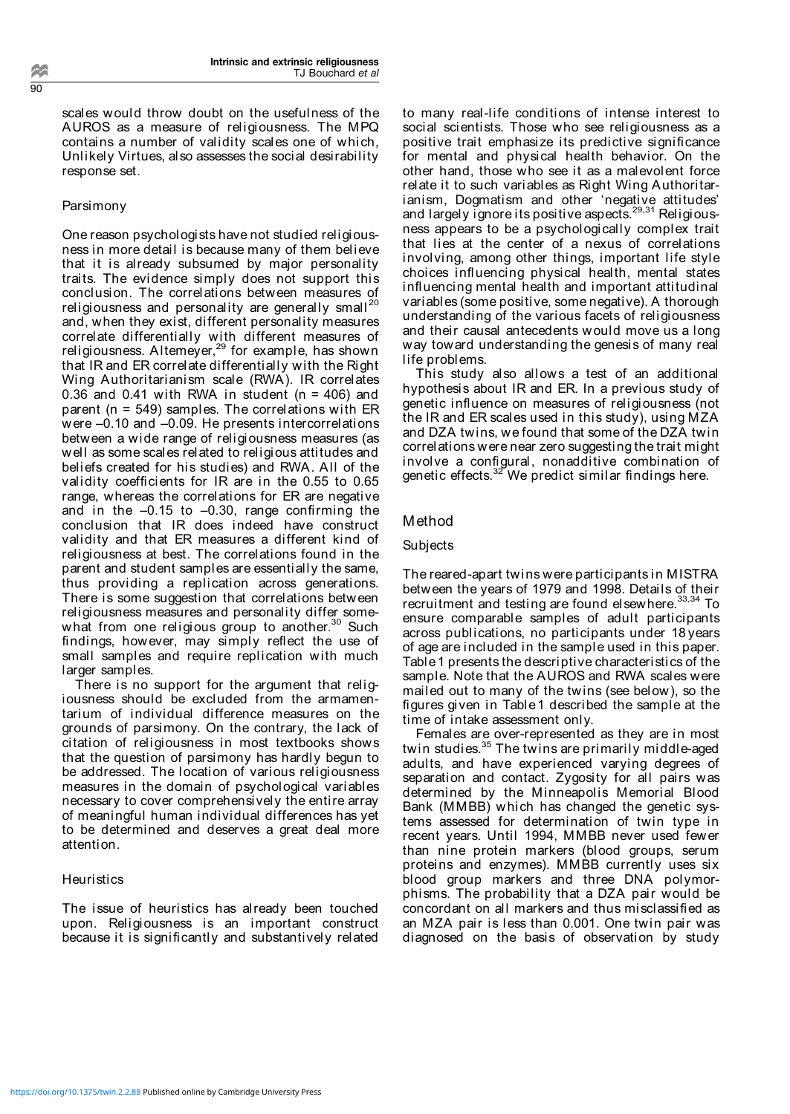scales would throw doubt on the usefulness of the AUROS as a measure of religiousness. The MPQ contains a number of validity scales one of which, Unlikely Virtues, also assesses the social desirability response set.

## Parsimony

One reason psychologists have not studied religiousness in more detail is because many of them believe that it is already subsumed by major personality traits. The evidence simply does not support this conclusion. The correlations between measures of religiousness and personality are generally small $^{20}$ and, when they exist, different personality measures correlate differentially with different measures of religiousness. Altemeyer,<sup>29</sup> for example, has shown that IR and ER correlate differentially with the Right Wing Authoritarianism scale (RWA). IR correlates 0.36 and 0.41 with RWA in student ( $n = 406$ ) and parent (n = 549) samples. The correlations with ER were –0.10 and –0.09. He presents intercorrelations between a wide range of religiousness measures (as well as some scales related to religious attitudes and beliefs created for his studies) and RWA. All of the validity coefficients for IR are in the 0.55 to 0.65 range, whereas the correlations for ER are negative and in the –0.15 to –0.30, range confirming the conclusion that IR does indeed have construct validity and that ER measures a different kind of religiousness at best. The correlations found in the parent and student samples are essentially the same, thus providing a replication across generations. There is some suggestion that correlations between religiousness measures and personality differ somewhat from one religious group to another.<sup>30</sup> Such findings, however, may simply reflect the use of small samples and require replication with much larger samples.

There is no support for the argument that religiousness should be excluded from the armamentarium of individual difference measures on the grounds of parsimony. On the contrary, the lack of citation of religiousness in most textbooks shows that the question of parsimony has hardly begun to be addressed. The location of various religiousness measures in the domain of psychological variables necessary to cover comprehensively the entire array of meaningful human individual differences has yet to be determined and deserves a great deal more attention.

## **Heuristics**

The issue of heuristics has already been touched upon. Religiousness is an important construct because it is significantly and substantively related to many real-life conditions of intense interest to social scientists. Those who see religiousness as a positive trait emphasize its predictive significance for mental and physical health behavior. On the other hand, those who see it as a malevolent force relate it to such variables as Right Wing Authoritarianism, Dogmatism and other 'negative attitudes' and largely ignore its positive aspects.<sup>29,31</sup> Religiousness appears to be a psychologically complex trait that lies at the center of a nexus of correlations involving, among other things, important life style choices influencing physical health, mental states influencing mental health and important attitudinal variables (some positive, some negative). A thorough understanding of the various facets of religiousness and their causal antecedents would move us a long way toward understanding the genesis of many real life problems.

This study also allows a test of an additional hypothesis about IR and ER. In a previous study of genetic influence on measures of religiousness (not the IR and ER scales used in this study), using MZA and DZA twins, we found that some of the DZA twin correlations were near zero suggesting the trait might involve a configural, nonadditive combination of genetic effects. $^{32}$ We predict similar findings here.

## Method

#### **Subjects**

The reared-apart twins were participants in MISTRA between the years of 1979 and 1998. Details of their recruitment and testing are found elsewhere.<sup>33,34</sup> To ensure comparable samples of adult participants across publications, no participants under 18 years of age are included in the sample used in this paper. Table1 presents the descriptive characteristics of the sample. Note that the AUROS and RWA scales were mailed out to many of the twins (see below), so the figures given in Table1 described the sample at the time of intake assessment only.

Females are over-represented as they are in most twin studies.<sup>35</sup> The twins are primarily middle-aged adults, and have experienced varying degrees of separation and contact. Zygosity for all pairs was determined by the Minneapolis Memorial Blood Bank (MMBB) which has changed the genetic systems assessed for determination of twin type in recent years. Until 1994, MMBB never used fewer than nine protein markers (blood groups, serum proteins and enzymes). MMBB currently uses six blood group markers and three DNA polymorphisms. The probability that a DZA pair would be concordant on all markers and thus misclassified as an MZA pair is less than 0.001. One twin pair was diagnosed on the basis of observation by study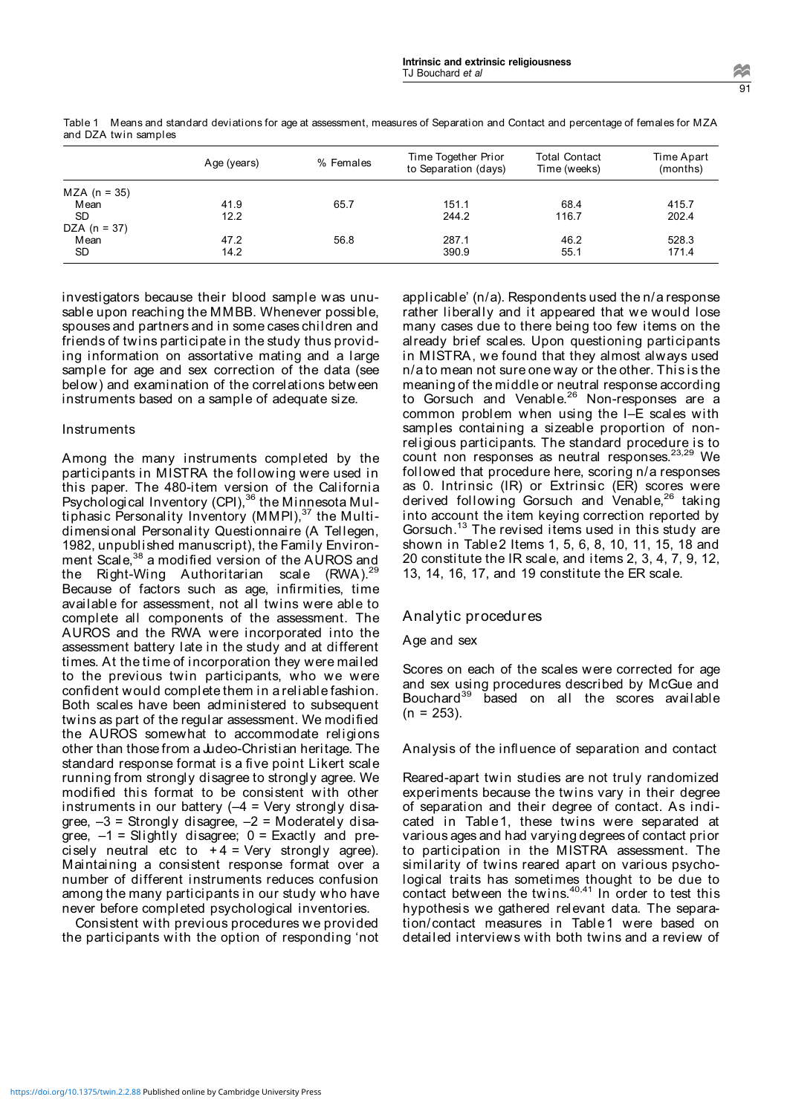|                | Age (years) | % Females | Time Together Prior<br>to Separation (days) | <b>Total Contact</b><br>Time (weeks) | Time Apart<br>(months) |
|----------------|-------------|-----------|---------------------------------------------|--------------------------------------|------------------------|
| $MZA (n = 35)$ |             |           |                                             |                                      |                        |
| M ean          | 41.9        | 65.7      | 151.1                                       | 68.4                                 | 415.7                  |
| <b>SD</b>      | 12.2        |           | 244.2                                       | 116.7                                | 202.4                  |
| $DZA (n = 37)$ |             |           |                                             |                                      |                        |
| M ean          | 47.2        | 56.8      | 287.1                                       | 46.2                                 | 528.3                  |
| <b>SD</b>      | 14.2        |           | 390.9                                       | 55.1                                 | 171.4                  |

Table 1 Means and standard deviations for age at assessment, measures of Separation and Contact and percentage of females for MZA and DZA twin samples

investigators because their blood sample was unusable upon reaching the MMBB. Whenever possible, spouses and partners and in some cases children and friends of twins participate in the study thus providing information on assortative mating and a large sample for age and sex correction of the data (see below) and examination of the correlations between instruments based on a sample of adequate size.

## **Instruments**

Among the many instruments completed by the participants in MISTRA the following were used in this paper. The 480-item version of the California Psychological Inventory (CPI),<sup>36</sup> the Minnesota Multiphasic Personality Inventory (MMPI),37 the Multidimensional Personality Questionnaire (A Tellegen, 1982, unpublished manuscript), the Family Environment Scale,<sup>38</sup> a modified version of the AUROS and the Right-Wing Authoritarian scale (RWA).<sup>29</sup> Because of factors such as age, infirmities, time available for assessment, not all twins were able to complete all components of the assessment. The AUROS and the RWA were incorporated into the assessment battery late in the study and at different times. At the time of incorporation they were mailed to the previous twin participants, who we were confident would complete them in a reliable fashion. Both scales have been administered to subsequent twins as part of the regular assessment. We modified the AUROS somewhat to accommodate religions other than those from a Judeo-Christian heritage. The standard response format is a five point Likert scale running from strongly disagree to strongly agree. We modified this format to be consistent with other instruments in our battery  $(-4 = \text{Very strongly disa-}$ gree,  $-3$  = Strongly disagree,  $-2$  = Moderately disagree,  $-1$  = Slightly disagree;  $0$  = Exactly and precisely neutral etc to  $+4$  = Very strongly agree). Maintaining a consistent response format over a number of different instruments reduces confusion among the many participants in our study who have never before completed psychological inventories.

Consistent with previous procedures we provided the participants with the option of responding 'not

applicable' (n/a). Respondents used the n/a response rather liberally and it appeared that we would lose many cases due to there being too few items on the already brief scales. Upon questioning participants in MISTRA, we found that they almost always used n/a to mean not sure one way or the other. This is the meaning of the middle or neutral response according to Gorsuch and Venable.<sup>26</sup> Non-responses are a common problem when using the I–E scales with samples containing a sizeable proportion of nonreligious participants. The standard procedure is to count non responses as neutral responses.<sup>23,29</sup> We followed that procedure here, scoring n/a responses as 0. Intrinsic (IR) or Extrinsic (ER) scores were derived following Gorsuch and Venable,<sup>26</sup> taking into account the item keying correction reported by Gorsuch.<sup>13</sup> The revised items used in this study are shown in Table2 Items 1, 5, 6, 8, 10, 11, 15, 18 and 20 constitute the IR scale, and items 2, 3, 4, 7, 9, 12, 13, 14, 16, 17, and 19 constitute the ER scale.

## Analytic procedures

## Age and sex

Scores on each of the scales were corrected for age and sex using procedures described by McGue and Bouchard<sup>39</sup> based on all the scores available  $(n = 253)$ .

Analysis of the influence of separation and contact

Reared-apart twin studies are not truly randomized experiments because the twins vary in their degree of separation and their degree of contact. As indicated in Table1, these twins were separated at various ages and had varying degrees of contact prior to participation in the MISTRA assessment. The similarity of twins reared apart on various psychological traits has sometimes thought to be due to contact between the twins. $40,41$  In order to test this hypothesis we gathered relevant data. The separation/contact measures in Table1 were based on detailed interviews with both twins and a review of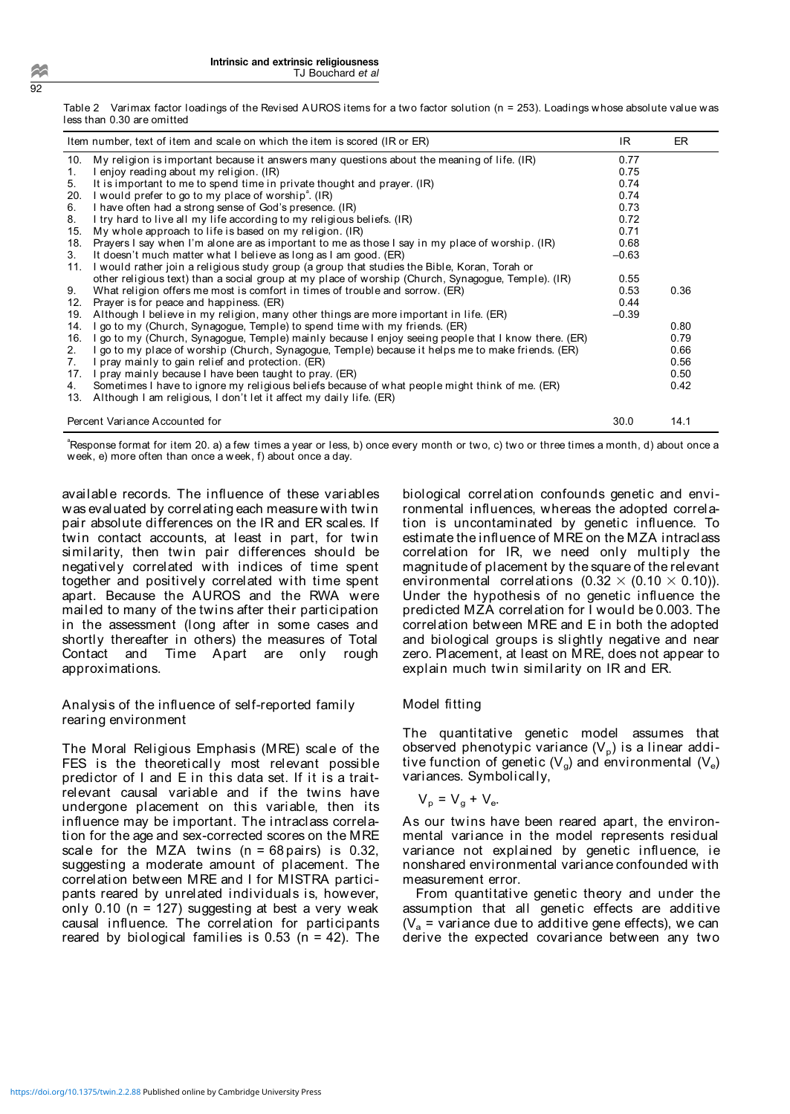Table 2 Varimax factor loadings of the Revised AUROS items for a two factor solution (n = 253). Loadings whose absolute value was less than 0.30 are omitted

|     | Item number, text of item and scale on which the item is scored (IR or ER)                          | IR.     | ER   |
|-----|-----------------------------------------------------------------------------------------------------|---------|------|
| 10. | My religion is important because it answers many questions about the meaning of life. (IR)          | 0.77    |      |
| 1.  | I enjoy reading about my religion. (IR)                                                             | 0.75    |      |
| 5.  | It is important to me to spend time in private thought and prayer. (IR)                             | 0.74    |      |
| 20. | I would prefer to go to my place of worship <sup>e</sup> . (IR)                                     | 0.74    |      |
| 6.  | I have often had a strong sense of God's presence. (IR)                                             | 0.73    |      |
| 8.  | I try hard to live all my life according to my religious beliefs. (IR)                              | 0.72    |      |
| 15. | My whole approach to life is based on my religion. (IR)                                             | 0.71    |      |
| 18. | Prayers I say when I'm alone are as important to me as those I say in my place of worship. (IR)     | 0.68    |      |
| 3.  | It doesn't much matter what I believe as long as I am good. (ER)                                    | $-0.63$ |      |
| 11. | I would rather join a religious study group (a group that studies the Bible, Koran, Torah or        |         |      |
|     | other religious text) than a social group at my place of worship (Church, Synagogue, Temple). (IR)  | 0.55    |      |
| 9.  | What religion offers me most is comfort in times of trouble and sorrow. (ER)                        | 0.53    | 0.36 |
| 12. | Prayer is for peace and happiness. (ER)                                                             | 0.44    |      |
|     | 19. Although I believe in my religion, many other things are more important in life. (ER)           | $-0.39$ |      |
| 14. | I go to my (Church, Synagogue, Temple) to spend time with my friends. (ER)                          |         | 0.80 |
| 16. | I go to my (Church, Synagogue, Temple) mainly because I enjoy seeing people that I know there. (ER) |         | 0.79 |
| 2.  | I go to my place of worship (Church, Synagogue, Temple) because it helps me to make friends. (ER)   |         | 0.66 |
| 7.  | I pray mainly to gain relief and protection. (ER)                                                   |         | 0.56 |
| 17. | I pray mainly because I have been taught to pray. (ER)                                              |         | 0.50 |
| 4.  | Sometimes I have to ignore my religious beliefs because of what people might think of me. (ER)      |         | 0.42 |
| 13. | Although I am religious, I don't let it affect my daily life. (ER)                                  |         |      |
|     | Percent Variance Accounted for                                                                      | 30.0    | 14.1 |

<sup>a</sup>Response format for item 20. a) a few times a year or less, b) once every month or two, c) two or three times a month, d) about once a week, e) more often than once a week, f) about once a day.

available records. The influence of these variables was evaluated by correlating each measure with twin pair absolute differences on the IR and ER scales. If twin contact accounts, at least in part, for twin similarity, then twin pair differences should be negatively correlated with indices of time spent together and positively correlated with time spent apart. Because the AUROS and the RWA were mailed to many of the twins after their participation in the assessment (long after in some cases and shortly thereafter in others) the measures of Total Contact and Time Apart are only rough approximations.

Analysis of the influence of self-reported family rearing environment

The Moral Religious Emphasis (MRE) scale of the FES is the theoretically most relevant possible predictor of I and E in this data set. If it is a traitrelevant causal variable and if the twins have undergone placement on this variable, then its influence may be important. The intraclass correlation for the age and sex-corrected scores on the MRE scale for the MZA twins  $(n = 68 \text{ pairs})$  is 0.32, suggesting a moderate amount of placement. The correlation between MRE and I for MISTRA participants reared by unrelated individuals is, however, only 0.10 (n = 127) suggesting at best a very weak causal influence. The correlation for participants reared by biological families is  $0.53$  (n = 42). The biological correlation confounds genetic and environmental influences, whereas the adopted correlation is uncontaminated by genetic influence. To estimate the influence of MRE on the MZA intraclass correlation for IR, we need only multiply the magnitude of placement by the square of the relevant environmental correlations  $(0.32 \times (0.10 \times 0.10))$ . Under the hypothesis of no genetic influence the predicted MZA correlation for I would be 0.003. The correlation between MRE and E in both the adopted and biological groups is slightly negative and near zero. Placement, at least on MRE, does not appear to explain much twin similarity on IR and ER.

## Model fitting

The quantitative genetic model assumes that observed phenotypic variance  $(V_p)$  is a linear additive function of genetic  $(V<sub>a</sub>)$  and environmental  $(V<sub>e</sub>)$ variances. Symbolically,

$$
V_p = V_g + V_e.
$$

As our twins have been reared apart, the environmental variance in the model represents residual variance not explained by genetic influence, ie nonshared environmental variance confounded with measurement error.

From quantitative genetic theory and under the assumption that all genetic effects are additive  $(V_a = \text{variance due to additive gene effects})$ , we can derive the expected covariance between any two

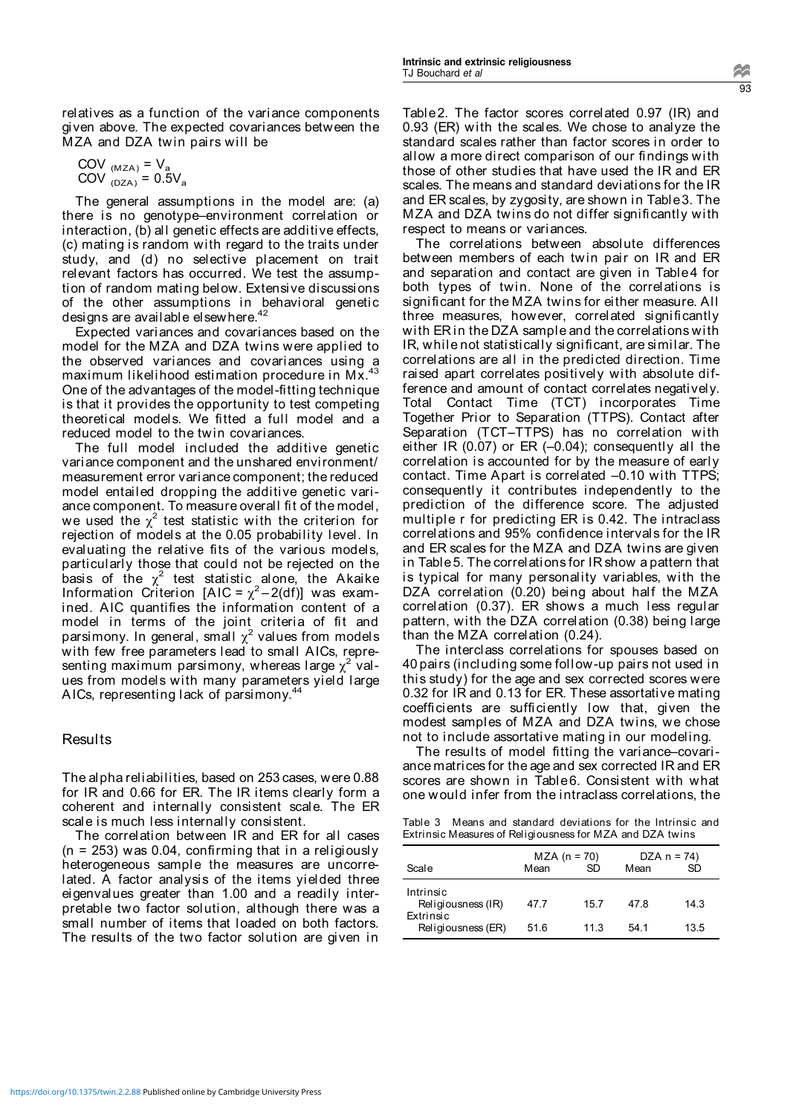relatives as a function of the variance components given above. The expected covariances between the MZA and DZA twin pairs will be

$$
COV_{(MZA)} = V_a
$$
  
COV<sub>(DZA)</sub> = 0.5V<sub>a</sub>

The general assumptions in the model are: (a) there is no genotype–environment correlation or interaction, (b) all genetic effects are additive effects, (c) mating is random with regard to the traits under study, and (d) no selective placement on trait relevant factors has occurred. We test the assumption of random mating below. Extensive discussions of the other assumptions in behavioral genetic designs are available elsewhere.<sup>42</sup>

Expected variances and covariances based on the model for the MZA and DZA twins were applied to the observed variances and covariances using a maximum likelihood estimation procedure in Mx.<sup>43</sup> One of the advantages of the model-fitting technique is that it provides the opportunity to test competing theoretical models. We fitted a full model and a reduced model to the twin covariances.

The full model included the additive genetic variance component and the unshared environment/ measurement error variance component; the reduced model entailed dropping the additive genetic variance component. To measure overall fit of the model, we used the  $\chi^2$  test statistic with the criterion for rejection of models at the 0.05 probability level. In evaluating the relative fits of the various models, particularly those that could not be rejected on the basis of the  $\chi^2$  test statistic alone, the Akaike Information Criterion [AIC =  $\chi^2$ -2(df)] was examined. AIC quantifies the information content of a model in terms of the joint criteria of fit and parsimony. In general, small  $\chi^2$  values from models with few free parameters lead to small AICs, representing maximum parsimony, whereas large  $\chi^2$  values from models with many parameters yield large AICs, representing lack of parsimony.<sup>4</sup>

## Results

The alpha reliabilities, based on 253 cases, were 0.88 for IR and 0.66 for ER. The IR items clearly form a coherent and internally consistent scale. The ER scale is much less internally consistent.

The correlation between IR and ER for all cases (n = 253) was 0.04, confirming that in a religiously heterogeneous sample the measures are uncorrelated. A factor analysis of the items yielded three eigenvalues greater than 1.00 and a readily interpretable two factor solution, although there was a small number of items that loaded on both factors. The results of the two factor solution are given in

Table2. The factor scores correlated 0.97 (IR) and 0.93 (ER) with the scales. We chose to analyze the standard scales rather than factor scores in order to allow a more direct comparison of our findings with those of other studies that have used the IR and ER scales. The means and standard deviations for the IR and ER scales, by zygosity, are shown in Table3. The MZA and DZA twins do not differ significantly with respect to means or variances.

The correlations between absolute differences between members of each twin pair on IR and ER and separation and contact are given in Table4 for both types of twin. None of the correlations is significant for the MZA twins for either measure. All three measures, however, correlated significantly with ER in the DZA sample and the correlations with IR, while not statistically significant, are similar. The correlations are all in the predicted direction. Time raised apart correlates positively with absolute difference and amount of contact correlates negatively. Total Contact Time (TCT) incorporates Time Together Prior to Separation (TTPS). Contact after Separation (TCT–TTPS) has no correlation with either IR (0.07) or ER (–0.04); consequently all the correlation is accounted for by the measure of early contact. Time Apart is correlated –0.10 with TTPS; consequently it contributes independently to the prediction of the difference score. The adjusted multiple r for predicting ER is 0.42. The intraclass correlations and 95% confidence intervals for the IR and ER scales for the MZA and DZA twins are given in Table5. The correlations for IR show a pattern that is typical for many personality variables, with the DZA correlation (0.20) being about half the MZA correlation (0.37). ER shows a much less regular pattern, with the DZA correlation (0.38) being large than the MZA correlation (0.24).

The interclass correlations for spouses based on 40 pairs (including some follow-up pairs not used in this study) for the age and sex corrected scores were 0.32 for IR and 0.13 for ER. These assortative mating coefficients are sufficiently low that, given the modest samples of MZA and DZA twins, we chose not to include assortative mating in our modeling.

The results of model fitting the variance–covariance matrices for the age and sex corrected IR and ER scores are shown in Table6. Consistent with what one would infer from the intraclass correlations, the

Table 3 Means and standard deviations for the Intrinsic and Extrinsic Measures of Religiousness for MZA and DZA twins

| Scale                                        | Mean | $MZA (n = 70)$<br>SD | Mean | $DZA n = 74$<br>SD |
|----------------------------------------------|------|----------------------|------|--------------------|
| Intrinsic<br>Religiousness (IR)<br>Extrinsic | 47.7 | 15.7                 | 47.8 | 14.3               |
| Religiousness (ER)                           | 51.6 | 11.3                 | 541  | 13.5               |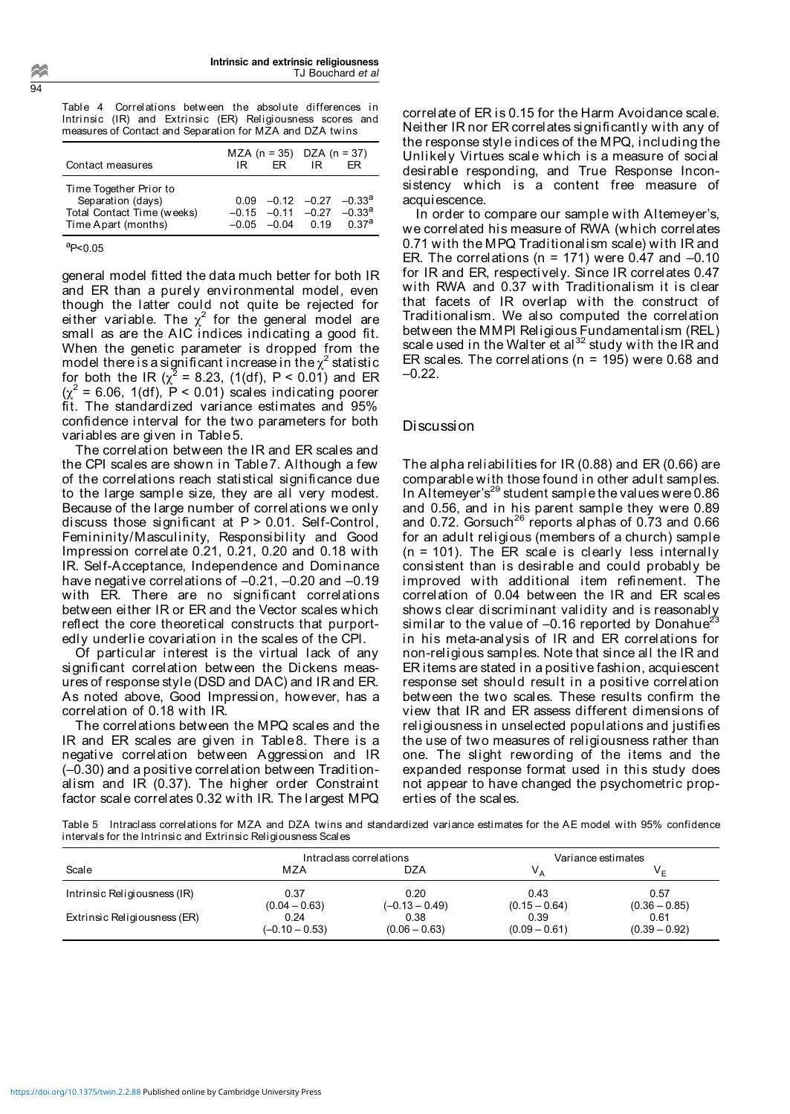Table 4 Correlations between the absolute differences in Intrinsic (IR) and Extrinsic (ER) Religiousness scores and measures of Contact and Separation for MZA and DZA twins

| Contact measures                                                                                 | MZA $(n = 35)$ DZA $(n = 37)$<br>FR -<br>IRI | IR.<br>FR.                                                                                        |
|--------------------------------------------------------------------------------------------------|----------------------------------------------|---------------------------------------------------------------------------------------------------|
| Time Together Prior to<br>Separation (days)<br>Total Contact Time (weeks)<br>Time Apart (months) | $-0.05$ $-0.04$ 0.19                         | $0.09 - 0.12 - 0.27 - 0.33a$<br>$-0.15$ $-0.11$ $-0.27$ $-0.33$ <sup>a</sup><br>0.37 <sup>a</sup> |

aP<0.05

general model fitted the data much better for both IR and ER than a purely environmental model, even though the latter could not quite be rejected for either variable. The  $\chi^2$  for the general model are small as are the AIC indices indicating a good fit. When the genetic parameter is dropped from the model there is a significant increase in the  $\chi^2$  statistic for both the IR ( $\chi^2$  = 8.23, (1(df), P < 0.01) and ER  $(\chi^2$  = 6.06, 1(df),  $\hat{P}$  < 0.01) scales indicating poorer fit. The standardized variance estimates and 95% confidence interval for the two parameters for both variables are given in Table5.

The correlation between the IR and ER scales and the CPI scales are shown in Table7. Although a few of the correlations reach statistical significance due to the large sample size, they are all very modest. Because of the large number of correlations we only discuss those significant at P > 0.01. Self-Control, Femininity/Masculinity, Responsibility and Good Impression correlate 0.21, 0.21, 0.20 and 0.18 with IR. Self-Acceptance, Independence and Dominance have negative correlations of –0.21, –0.20 and –0.19 with ER. There are no significant correlations between either IR or ER and the Vector scales which reflect the core theoretical constructs that purportedly underlie covariation in the scales of the CPI.

Of particular interest is the virtual lack of any significant correlation between the Dickens measures of response style (DSD and DAC) and IR and ER. As noted above, Good Impression, however, has a correlation of 0.18 with IR.

The correlations between the MPQ scales and the IR and ER scales are given in Table8. There is a negative correlation between Aggression and IR (–0.30) and a positive correlation between Traditionalism and IR (0.37). The higher order Constraint factor scale correlates 0.32 with IR. The largest MPQ

correlate of ER is 0.15 for the Harm Avoidance scale. Neither IR nor ER correlates significantly with any of the response style indices of the MPQ, including the Unlikely Virtues scale which is a measure of social desirable responding, and True Response Inconsistency which is a content free measure of acquiescence.

In order to compare our sample with Altemeyer's, we correlated his measure of RWA (which correlates 0.71 with the MPQ Traditionalism scale) with IR and ER. The correlations ( $n = 171$ ) were 0.47 and  $-0.10$ for IR and ER, respectively. Since IR correlates 0.47 with RWA and 0.37 with Traditionalism it is clear that facets of IR overlap with the construct of Traditionalism. We also computed the correlation between the MMPI Religious Fundamentalism (REL) scale used in the Walter et al<sup>32</sup> study with the IR and ER scales. The correlations ( $n = 195$ ) were 0.68 and –0.22.

#### Discussion

The alpha reliabilities for IR (0.88) and ER (0.66) are comparable with those found in other adult samples. In Altemeyer's<sup>29</sup> student sample the values were  $0.86$ and 0.56, and in his parent sample they were 0.89 and 0.72. Gorsuch<sup>26</sup> reports alphas of 0.73 and 0.66 for an adult religious (members of a church) sample (n = 101). The ER scale is clearly less internally consistent than is desirable and could probably be improved with additional item refinement. The correlation of 0.04 between the IR and ER scales shows clear discriminant validity and is reasonably similar to the value of  $-0.16$  reported by Donahue<sup>2</sup> in his meta-analysis of IR and ER correlations for non-religious samples. Note that since all the IR and ER items are stated in a positive fashion, acquiescent response set should result in a positive correlation between the two scales. These results confirm the view that IR and ER assess different dimensions of religiousness in unselected populations and justifies the use of two measures of religiousness rather than one. The slight rewording of the items and the expanded response format used in this study does not appear to have changed the psychometric properties of the scales.

Table 5 Intraclass correlations for MZA and DZA twins and standardized variance estimates for the AE model with 95% confidence intervals for the Intrinsic and Extrinsic Religiousness Scales

|                              | Intraclass correlations |                  | Variance estimates |                 |
|------------------------------|-------------------------|------------------|--------------------|-----------------|
| Scale                        | MZA                     | <b>DZA</b>       | $V_A$              | V <sub>E</sub>  |
| Intrinsic Religiousness (IR) | 0.37                    | 0.20             | 0.43               | 0.57            |
|                              | $(0.04 - 0.63)$         | $(-0.13 - 0.49)$ | $(0.15 - 0.64)$    | $(0.36 - 0.85)$ |
| Extrinsic Religiousness (ER) | 0.24                    | 0.38             | 0.39               | 0.61            |
|                              | $(-0.10 - 0.53)$        | $(0.06 - 0.63)$  | $(0.09 - 0.61)$    | $(0.39 - 0.92)$ |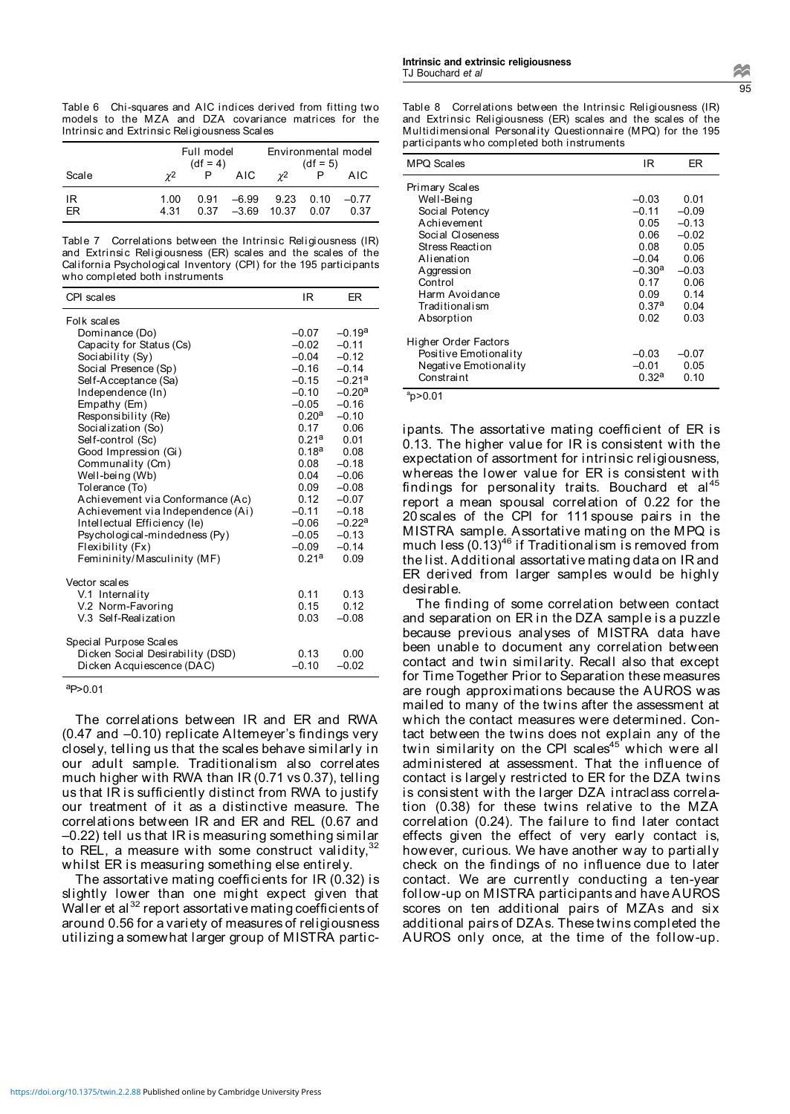Table 6 Chi-squares and AIC indices derived from fitting two models to the MZA and DZA covariance matrices for the Intrinsic and Extrinsic Religiousness Scales

|          | Full model<br>$(df = 4)$ |      |                             | Environmental model   | $(df = 5)$   |                 |
|----------|--------------------------|------|-----------------------------|-----------------------|--------------|-----------------|
| Scale    | $\gamma$ <sup>2</sup>    |      | AIC.                        | $\gamma$ <sup>2</sup> |              | AIC             |
| IR<br>FR | 1.00<br>4.31             | 0.91 | -6.99<br>$0.37 -3.69 10.37$ | 9.23                  | 0.10<br>0.07 | $-0.77$<br>0.37 |

Table 7 Correlations between the Intrinsic Religiousness (IR) and Extrinsic Religiousness (ER) scales and the scales of the California Psychological Inventory (CPI) for the 195 participants who completed both instruments

| CPI scales                        | IR                  | ER       |
|-----------------------------------|---------------------|----------|
| Folk scales                       |                     |          |
| Dominance (Do)                    | $-0.07$             | $-0.19a$ |
| Capacity for Status (Cs)          | $-0.02$             | $-0.11$  |
| Sociability (Sy)                  | $-0.04$             | $-0.12$  |
| Social Presence (Sp)              | $-0.16$             | $-0.14$  |
| Self-Acceptance (Sa)              | $-0.15$             | $-0.21a$ |
| Independence (In)                 | $-0.10$             | $-0.20a$ |
| Empathy (Em)                      | $-0.05$             | $-0.16$  |
| Responsibility (Re)               | $0.20^{\mathsf{a}}$ | $-0.10$  |
| Socialization (So)                | 0.17                | 0.06     |
| Self-control (Sc)                 | $0.21^{\mathsf{a}}$ | 0.01     |
| Good Impression (Gi)              | $0.18^{\mathsf{a}}$ | 0.08     |
| Communality (Cm)                  | 0.08                | $-0.18$  |
| Well-being (Wb)                   | 0.04                | $-0.06$  |
| Tolerance (To)                    | 0.09                | $-0.08$  |
| Achievement via Conformance (Ac)  | 0.12                | $-0.07$  |
| Achievement via Independence (Ai) | $-0.11$             | $-0.18$  |
| Intellectual Efficiency (le)      | $-0.06$             | $-0.22a$ |
| Psychological-mindedness (Py)     | $-0.05$             | $-0.13$  |
| Flexibility (Fx)                  | $-0.09$             | $-0.14$  |
| Femininity/Masculinity (MF)       | 0.21a               | 0.09     |
| Vector scales                     |                     |          |
| V.1 Internality                   | 0.11                | 0.13     |
| V.2 Norm-Favoring                 | 0.15                | 0.12     |
| V.3 Self-Realization              | 0.03                | $-0.08$  |
| Special Purpose Scales            |                     |          |
| Dicken Social Desirability (DSD)  | 0.13                | 0.00     |
| Dicken Acquiescence (DAC)         | $-0.10$             | $-0.02$  |

#### $ap>0.01$

The correlations between IR and ER and RWA (0.47 and –0.10) replicate Altemeyer's findings very closely, telling us that the scales behave similarly in our adult sample. Traditionalism also correlates much higher with RWA than IR (0.71 vs 0.37), telling us that IR is sufficiently distinct from RWA to justify our treatment of it as a distinctive measure. The correlations between IR and ER and REL (0.67 and –0.22) tell us that IR is measuring something similar to REL, a measure with some construct validity, $\overline{\phantom{a}}$ whilst ER is measuring something else entirely.

The assortative mating coefficients for IR (0.32) is slightly lower than one might expect given that Waller et al<sup>32</sup> report assortative mating coefficients of around 0.56 for a variety of measures of religiousness utilizing a somewhat larger group of MISTRA particTable 8 Correlations between the Intrinsic Religiousness (IR) and Extrinsic Religiousness (ER) scales and the scales of the Multidimensional Personality Questionnaire (MPQ) for the 195 participants who completed both instruments

| MPQ Scales            | IR         | ER      |
|-----------------------|------------|---------|
| Primary Scales        |            |         |
| Well-Being            | $-0.03$    | 0.01    |
| Social Potency        | $-0.11$    | $-0.09$ |
| Achievement           | 0.05       | $-0.13$ |
| Social Closeness      | 0.06       | $-0.02$ |
| Stress Reaction       | 0.08       | 0.05    |
| Alienation            | $-0.04$    | 0.06    |
| Aggression            | $-0.30a$   | $-0.03$ |
| Control               | 0.17       | 0.06    |
| Harm Avoidance        | 0.09       | 0.14    |
| Traditionalism        | 0.37a      | 0.04    |
| Absorption            | 0.02       | 0.03    |
| Higher Order Factors  |            |         |
| Positive Emotionality | $-0.03$    | $-0.07$ |
| Negative Emotionality | $-0.01$    | 0.05    |
| Constraint            | $0.32^{a}$ | 0.10    |

 $ap$ >0.01

ipants. The assortative mating coefficient of ER is 0.13. The higher value for IR is consistent with the expectation of assortment for intrinsic religiousness, whereas the lower value for ER is consistent with findings for personality traits. Bouchard et al $45$ report a mean spousal correlation of 0.22 for the 20 scales of the CPI for 111 spouse pairs in the MISTRA sample. Assortative mating on the MPQ is much less  $(0.13)^{46}$  if Traditionalism is removed from the list. Additional assortative mating data on IR and ER derived from larger samples would be highly desirable.

The finding of some correlation between contact and separation on ER in the DZA sample is a puzzle because previous analyses of MISTRA data have been unable to document any correlation between contact and twin similarity. Recall also that except for Time Together Prior to Separation these measures are rough approximations because the AUROS was mailed to many of the twins after the assessment at which the contact measures were determined. Contact between the twins does not explain any of the twin similarity on the CPI scales<sup>45</sup> which were all administered at assessment. That the influence of contact is largely restricted to ER for the DZA twins is consistent with the larger DZA intraclass correlation (0.38) for these twins relative to the MZA correlation (0.24). The failure to find later contact effects given the effect of very early contact is, however, curious. We have another way to partially check on the findings of no influence due to later contact. We are currently conducting a ten-year follow-up on MISTRA participants and have AUROS scores on ten additional pairs of MZAs and six additional pairs of DZAs. These twins completed the AUROS only once, at the time of the follow-up.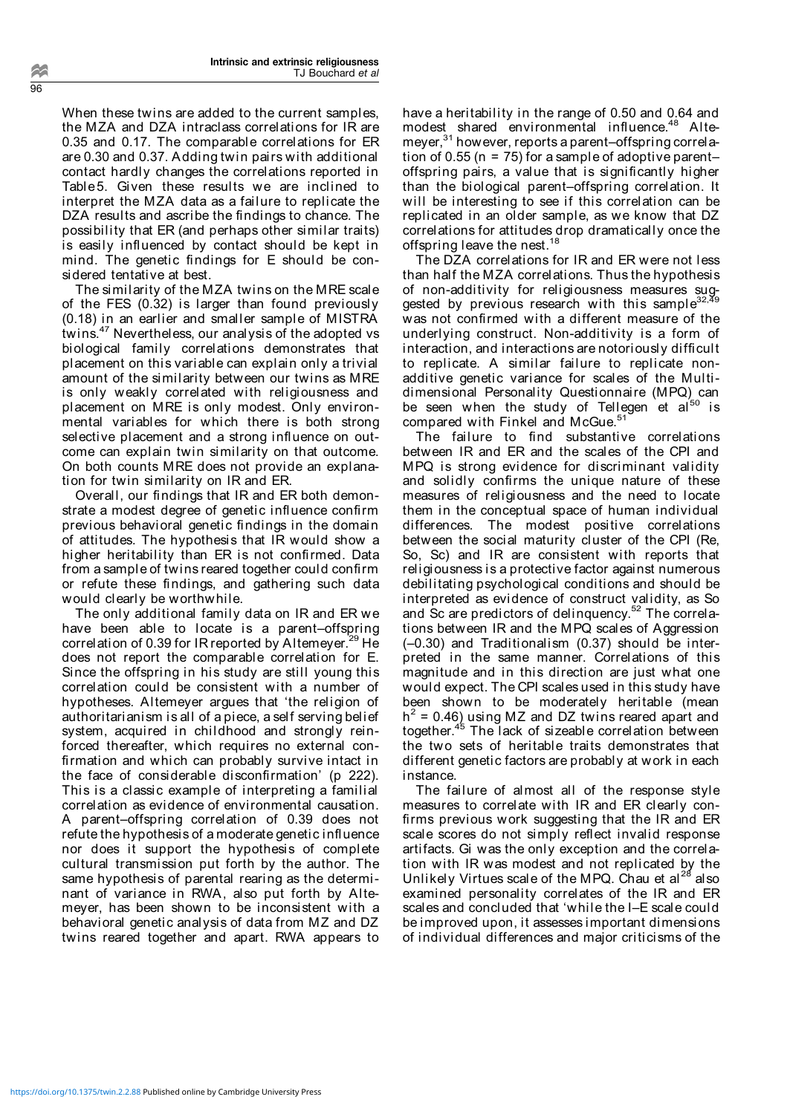When these twins are added to the current samples, the MZA and DZA intraclass correlations for IR are 0.35 and 0.17. The comparable correlations for ER are 0.30 and 0.37. Adding twin pairs with additional contact hardly changes the correlations reported in Table5. Given these results we are inclined to interpret the MZA data as a failure to replicate the DZA results and ascribe the findings to chance. The possibility that ER (and perhaps other similar traits) is easily influenced by contact should be kept in mind. The genetic findings for E should be considered tentative at best.

The similarity of the MZA twins on the MRE scale of the FES (0.32) is larger than found previously (0.18) in an earlier and smaller sample of MISTRA twins.47 Nevertheless, our analysis of the adopted vs biological family correlations demonstrates that placement on this variable can explain only a trivial amount of the similarity between our twins as MRE is only weakly correlated with religiousness and placement on MRE is only modest. Only environmental variables for which there is both strong selective placement and a strong influence on outcome can explain twin similarity on that outcome. On both counts MRE does not provide an explanation for twin similarity on IR and ER.

Overall, our findings that IR and ER both demonstrate a modest degree of genetic influence confirm previous behavioral genetic findings in the domain of attitudes. The hypothesis that IR would show a higher heritability than ER is not confirmed. Data from a sample of twins reared together could confirm or refute these findings, and gathering such data would clearly be worthwhile.

The only additional family data on IR and ER we have been able to locate is a parent–offspring correlation of 0.39 for IR reported by Altemeyer.<sup>29</sup> He does not report the comparable correlation for E. Since the offspring in his study are still young this correlation could be consistent with a number of hypotheses. Altemeyer argues that 'the religion of authoritarianism is all of a piece, a self serving belief system, acquired in childhood and strongly reinforced thereafter, which requires no external confirmation and which can probably survive intact in the face of considerable disconfirmation' (p 222). This is a classic example of interpreting a familial correlation as evidence of environmental causation. A parent–offspring correlation of 0.39 does not refute the hypothesis of a moderate genetic influence nor does it support the hypothesis of complete cultural transmission put forth by the author. The same hypothesis of parental rearing as the determinant of variance in RWA, also put forth by Altemeyer, has been shown to be inconsistent with a behavioral genetic analysis of data from MZ and DZ twins reared together and apart. RWA appears to have a heritability in the range of 0.50 and 0.64 and modest shared environmental influence.<sup>48</sup> Altemeyer,<sup>31</sup> however, reports a parent–offspring correlation of 0.55 ( $n = 75$ ) for a sample of adoptive parentoffspring pairs, a value that is significantly higher than the biological parent–offspring correlation. It will be interesting to see if this correlation can be replicated in an older sample, as we know that DZ correlations for attitudes drop dramatically once the offspring leave the nest.<sup>18</sup>

The DZA correlations for IR and ER were not less than half the MZA correlations. Thus the hypothesis of non-additivity for religiousness measures suggested by previous research with this sample $^{32,\overline{4}9}$ was not confirmed with a different measure of the underlying construct. Non-additivity is a form of interaction, and interactions are notoriously difficult to replicate. A similar failure to replicate nonadditive genetic variance for scales of the Multidimensional Personality Questionnaire (MPQ) can be seen when the study of Tellegen et al<sup>50</sup> is compared with Finkel and McGue.<sup>51</sup>

The failure to find substantive correlations between IR and ER and the scales of the CPI and MPQ is strong evidence for discriminant validity and solidly confirms the unique nature of these measures of religiousness and the need to locate them in the conceptual space of human individual differences. The modest positive correlations between the social maturity cluster of the CPI (Re, So, Sc) and IR are consistent with reports that religiousness is a protective factor against numerous debilitating psychological conditions and should be interpreted as evidence of construct validity, as So and Sc are predictors of delinquency.<sup>52</sup> The correlations between IR and the MPQ scales of Aggression (–0.30) and Traditionalism (0.37) should be interpreted in the same manner. Correlations of this magnitude and in this direction are just what one would expect. The CPI scales used in this study have been shown to be moderately heritable (mean  $h^2$  = 0.46) using MZ and DZ twins reared apart and together.45 The lack of sizeable correlation between the two sets of heritable traits demonstrates that different genetic factors are probably at work in each instance.

The failure of almost all of the response style measures to correlate with IR and ER clearly confirms previous work suggesting that the IR and ER scale scores do not simply reflect invalid response artifacts. Gi was the only exception and the correlation with IR was modest and not replicated by the Unlikely Virtues scale of the MPQ. Chau et al<sup>28</sup> also examined personality correlates of the IR and ER scales and concluded that 'while the I–E scale could be improved upon, it assesses important dimensions of individual differences and major criticisms of the

96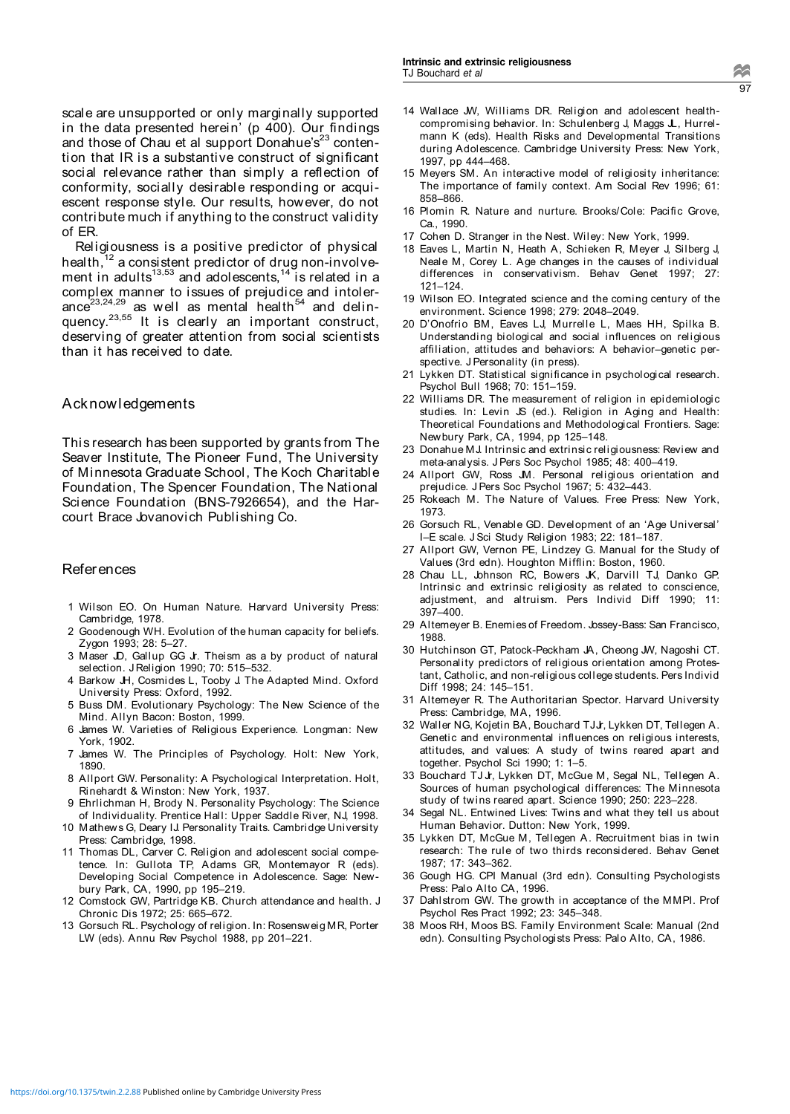scale are unsupported or only marginally supported in the data presented herein' (p 400). Our findings and those of Chau et al support Donahue's $23$  contention that IR is a substantive construct of significant social relevance rather than simply a reflection of conformity, socially desirable responding or acquiescent response style. Our results, however, do not contribute much if anything to the construct validity of ER.

Religiousness is a positive predictor of physical health, $12$  a consistent predictor of drug non-involvement in adults<sup>13,53</sup> and adolescents,<sup>14</sup> is related in a complex manner to issues of prejudice and intolerance $23,24,29$  as well as mental health<sup>54</sup> and delinquency.<sup>23,55</sup> It is clearly an important construct, deserving of greater attention from social scientists than it has received to date.

#### Acknowledgements

This research has been supported by grants from The Seaver Institute, The Pioneer Fund, The University of Minnesota Graduate School, The Koch Charitable Foundation, The Spencer Foundation, The National Science Foundation (BNS-7926654), and the Harcourt Brace Jovanovich Publishing Co.

#### **References**

- 1 Wilson EO. On Human Nature. Harvard University Press: Cambridge, 1978.
- 2 Goodenough WH. Evolution of the human capacity for beliefs. Zygon 1993; 28: 5–27.
- 3 Maser JD, Gallup GG Jr. Theism as a by product of natural selection. J Religion 1990; 70: 515–532.
- 4 Barkow JH, Cosmides L, Tooby J. The Adapted Mind. Oxford University Press: Oxford, 1992.
- 5 Buss DM. Evolutionary Psychology: The New Science of the Mind. Allyn Bacon: Boston, 1999.
- 6 James W. Varieties of Religious Experience. Longman: New York, 1902.
- 7 James W. The Principles of Psychology. Holt: New York, 1890.
- 8 Allport GW. Personality: A Psychological Interpretation. Holt, Rinehardt & Winston: New York, 1937.
- 9 Ehrlichman H, Brody N. Personality Psychology: The Science of Individuality. Prentice Hall: Upper Saddle River, NJ, 1998.
- 10 Mathews G, Deary IJ. Personality Traits. Cambridge University Press: Cambridge, 1998.
- 11 Thomas DL, Carver C. Religion and adolescent social competence. In: Gullota TP, Adams GR, Montemayor R (eds). Developing Social Competence in Adolescence. Sage: Newbury Park, CA, 1990, pp 195–219.
- 12 Comstock GW, Partridge KB. Church attendance and health. J Chronic Dis 1972; 25: 665–672.
- 13 Gorsuch RL. Psychology of religion. In: Rosensweig MR, Porter LW (eds). Annu Rev Psychol 1988, pp 201–221.
- 14 Wallace JW, Williams DR. Religion and adolescent healthcompromising behavior. In: Schulenberg J, Maggs JL, Hurrelmann K (eds). Health Risks and Developmental Transitions during Adolescence. Cambridge University Press: New York, 1997, pp 444–468.
- 15 Meyers SM. An interactive model of religiosity inheritance: The importance of family context. Am Social Rev 1996; 61: 858–866.
- 16 Plomin R. Nature and nurture. Brooks/Cole: Pacific Grove, Ca., 1990.
- 17 Cohen D. Stranger in the Nest. Wiley: New York, 1999.
- 18 Eaves L, Martin N, Heath A, Schieken R, Meyer J, Silberg J, Neale M, Corey L. Age changes in the causes of individual differences in conservativism. Behav Genet 1997; 27: 121–124.
- 19 Wilson EO. Integrated science and the coming century of the environment. Science 1998; 279: 2048–2049.
- 20 D'Onofrio BM, Eaves LJ, Murrelle L, Maes HH, Spilka B. Understanding biological and social influences on religious affiliation, attitudes and behaviors: A behavior–genetic perspective. J Personality (in press).
- 21 Lykken DT. Statistical significance in psychological research. Psychol Bull 1968; 70: 151–159.
- 22 Williams DR. The measurement of religion in epidemiologic studies. In: Levin JS (ed.). Religion in Aging and Health: Theoretical Foundations and Methodological Frontiers. Sage: Newbury Park, CA, 1994, pp 125–148.
- 23 Donahue MJ. Intrinsic and extrinsic religiousness: Review and meta-analysis. J Pers Soc Psychol 1985; 48: 400–419.
- 24 Allport GW, Ross JM. Personal religious orientation and prejudice. J Pers Soc Psychol 1967; 5: 432–443.
- 25 Rokeach M. The Nature of Values. Free Press: New York, 1973.
- 26 Gorsuch RL, Venable GD. Development of an 'Age Universal' I–E scale. J Sci Study Religion 1983; 22: 181–187.
- 27 Allport GW, Vernon PE, Lindzey G. Manual for the Study of Values (3rd edn). Houghton Mifflin: Boston, 1960.
- 28 Chau LL, Johnson RC, Bowers JK, Darvill TJ, Danko GP. Intrinsic and extrinsic religiosity as related to conscience, adjustment, and altruism. Pers Individ Diff 1990; 11: 397–400.
- 29 Altemeyer B. Enemies of Freedom. Jossey-Bass: San Francisco, 1988.
- 30 Hutchinson GT, Patock-Peckham JA, Cheong JW, Nagoshi CT. Personality predictors of religious orientation among Protestant, Catholic, and non-religious college students. Pers Individ Diff 1998; 24: 145–151.
- 31 Altemeyer R. The Authoritarian Spector. Harvard University Press: Cambridge, MA, 1996.
- 32 Waller NG, Kojetin BA, Bouchard TJJr, Lykken DT, Tellegen A. Genetic and environmental influences on religious interests, attitudes, and values: A study of twins reared apart and together. Psychol Sci 1990; 1: 1–5.
- 33 Bouchard TJ Jr, Lykken DT, McGue M, Segal NL, Tellegen A. Sources of human psychological differences: The Minnesota study of twins reared apart. Science 1990; 250: 223–228.
- 34 Segal NL. Entwined Lives: Twins and what they tell us about Human Behavior. Dutton: New York, 1999.
- 35 Lykken DT, McGue M, Tellegen A. Recruitment bias in twin research: The rule of two thirds reconsidered. Behav Genet 1987; 17: 343–362.
- 36 Gough HG. CPI Manual (3rd edn). Consulting Psychologists Press: Palo Alto CA, 1996.
- 37 Dahlstrom GW. The growth in acceptance of the MMPI. Prof Psychol Res Pract 1992; 23: 345–348.
- 38 Moos RH, Moos BS. Family Environment Scale: Manual (2nd edn). Consulting Psychologists Press: Palo Alto, CA, 1986.